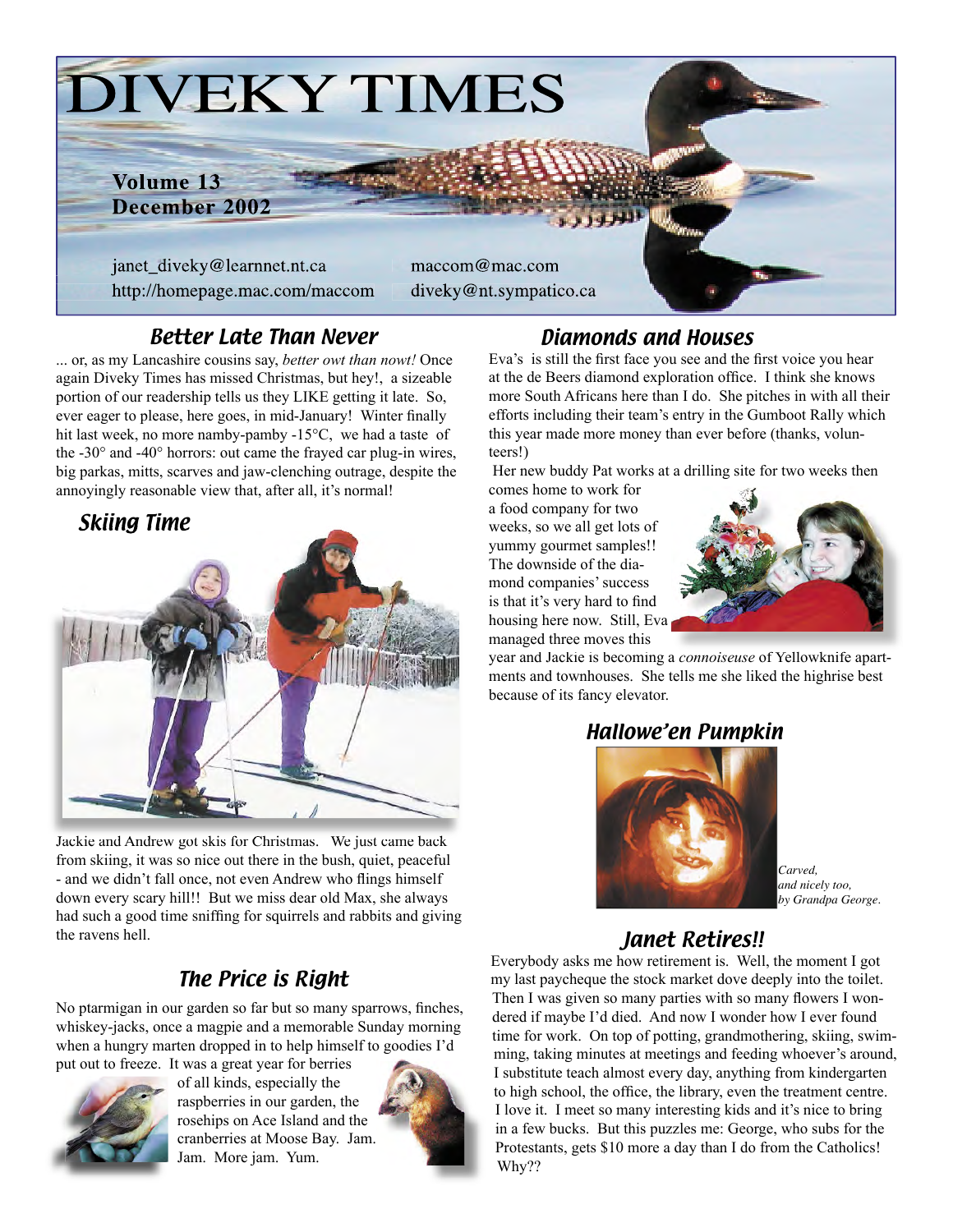

### Better Late Than Never

... or, as my Lancashire cousins say, *better owt than nowt!* Once again Diveky Times has missed Christmas, but hey!, a sizeable portion of our readership tells us they LIKE getting it late. So, ever eager to please, here goes, in mid-January! Winter finally hit last week, no more namby-pamby -15°C, we had a taste of the -30° and -40° horrors: out came the frayed car plug-in wires, big parkas, mitts, scarves and jaw-clenching outrage, despite the annoyingly reasonable view that, after all, it's normal!

# Skiing Time



Jackie and Andrew got skis for Christmas. We just came back from skiing, it was so nice out there in the bush, quiet, peaceful - and we didn't fall once, not even Andrew who flings himself down every scary hill!! But we miss dear old Max, she always had such a good time sniffing for squirrels and rabbits and giving the ravens hell. **Janet Retires!!** 

# The Price is Right

No ptarmigan in our garden so far but so many sparrows, finches, whiskey-jacks, once a magpie and a memorable Sunday morning when a hungry marten dropped in to help himself to goodies I'd put out to freeze. It was a great year for berries



of all kinds, especially the raspberries in our garden, the rosehips on Ace Island and the cranberries at Moose Bay. Jam. Jam. More jam. Yum.



### Diamonds and Houses

Eva's is still the first face you see and the first voice you hear at the de Beers diamond exploration office. I think she knows more South Africans here than I do. She pitches in with all their efforts including their team's entry in the Gumboot Rally which this year made more money than ever before (thanks, volunteers!)

Her new buddy Pat works at a drilling site for two weeks then

comes home to work for a food company for two weeks, so we all get lots of yummy gourmet samples!! The downside of the diamond companies' success is that it's very hard to find housing here now. Still, Eva managed three moves this



year and Jackie is becoming a *connoiseuse* of Yellowknife apartments and townhouses. She tells me she liked the highrise best because of its fancy elevator.

### Hallowe'en Pumpkin



*Carved, and nicely too, by Grandpa George.*

Everybody asks me how retirement is. Well, the moment I got my last paycheque the stock market dove deeply into the toilet. Then I was given so many parties with so many flowers I wondered if maybe I'd died. And now I wonder how I ever found time for work. On top of potting, grandmothering, skiing, swimming, taking minutes at meetings and feeding whoever's around, I substitute teach almost every day, anything from kindergarten to high school, the office, the library, even the treatment centre. I love it. I meet so many interesting kids and it's nice to bring in a few bucks. But this puzzles me: George, who subs for the Protestants, gets \$10 more a day than I do from the Catholics! Why??